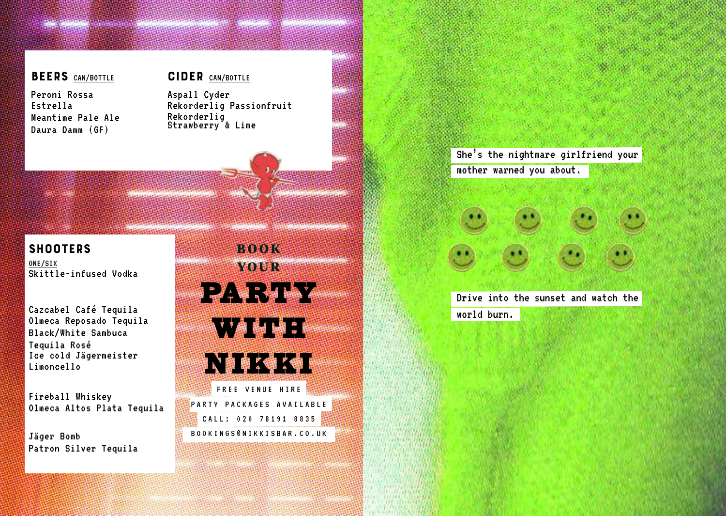# 

# BEERS CAN/BOTTLE

Peroni Rossa Estrella Meantime Pale Ale Daura Damm (GF)

# CIDER CAN/BOTTLE

Aspall Cyder Rekorderlig Passionfruit Rekorderlig Strawberry & Lime

> She's the nightmare girlfriend your mother warned you about.

> Drive into the sunset and watch the

world burn.

# **SHOOTERS** ONE/SIX Skittle-infused Vodka

Cazcabel Café Tequila Olmeca Reposado Tequila Black/White Sambuca Tequila Rosé Ice cold Jägermeister Limoncello

Fireball Whiskey Olmeca Altos Plata Tequila

Jäger Bomb Patron Silver Tequila

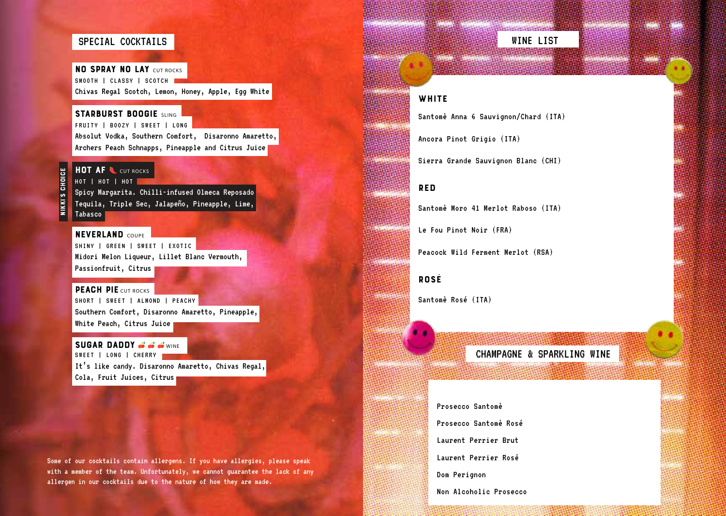## SPECIAL COCKTAILS

**NO SPRAY NO LAY CUT ROCKS** SMOOTH | CLASSY | SCOTCH | Chivas Regal Scotch, Lemon, Honey, Apple, Egg White

### STARBURST BOOGIE SLING

FRUITY | BOOZY | SWEET | LONG Absolut Vodka, Southern Comfort, Disaronno Amaretto, Archers Peach Schnapps, Pineapple and Citrus Juice

### HOT AF CUT ROCKS

NIKKI'S CHOICE

NIKKI'S CHOICE

HOT | HOT | HOT

Spicy Margarita. Chilli-infused Olmeca Reposado Tequila, Triple Sec, Jalapeño, Pineapple, Lime, Tabasco

### **NEVERLAND COUPER**

SHINY | GREEN | SWEET | EXOTIC Midori Melon Liqueur, Lillet Blanc Vermouth, Passionfruit, Citrus

#### PEACH PIE CUT ROCKS

SHORT | SWEET | ALMOND | PEACHY Southern Comfort, Disaronno Amaretto, Pineapple, White Peach, Citrus Juice

#### SUGAR DADDY  $\triangle$   $\triangle$   $\triangle$   $\text{w}_{\text{NSE}}$ SWEET | LONG | CHERRY

It's like candy. Disaronno Amaretto, Chivas Regal, Cola, Fruit Juices, Citrus

Some of our cocktails contain allergens. If you have allergies, please speak with a member of the team. Unfortunately, we cannot guarantee the lack of any allergen in our cocktails due to the nature of how they are made.

# WINE LIST

*<u>Martin Caroline Company</u>* 

### **WHITE**

Santomè Anna 6 Sauvignon/Chard (ITA)

Ancora Pinot Grigio (ITA)

Sierra Grande Sauvignon Blanc (CHI)

### RED

Santomè Moro 41 Merlot Raboso (ITA)

Le Fou Pinot Noir (FRA)

Peacock Wild Ferment Merlot (RSA)

### ROSÉ

Santomè Rosé (ITA)

CHAMPAGNE & SPARKLING WINE

# Prosecco Santomè

Prosecco Santomè Rosé

Laurent Perrier Brut

Laurent Perrier Rosé

Dom Perignon

Non Alcoholic Prosecco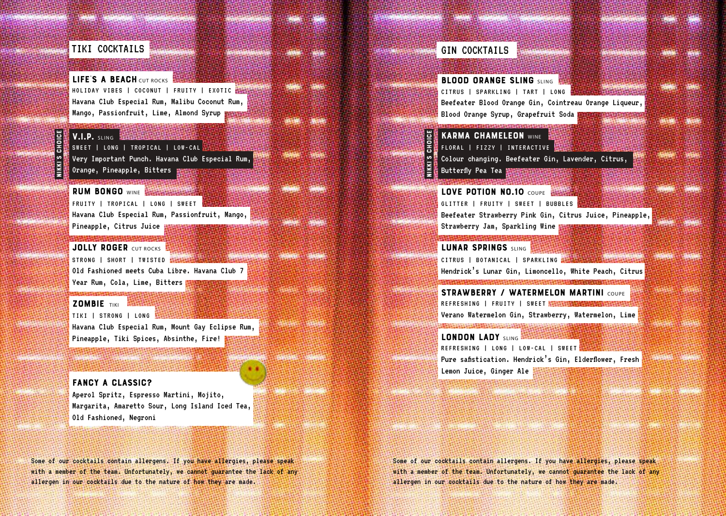# TIKI COCKTAILS

LIFE'S A BEACH CUT ROCKS HOLIDAY VIBES | COCONUT | FRUITY | EXOTIC Havana Club Especial Rum, Malibu Coconut Rum, Mango, Passionfruit, Lime, Almond Syrup **m** 

# NIKKI'S CHOICE  $V.I.P.$  SLING  $\mathbb{R}$ E<br>15 NIKKI'S

SWEET | LONG | TROPICAL | LOW-CAL Very Important Punch. Havana Club Especial Rum, Orange, Pineapple, Bitters

RUM BONGO WINE **BELLEVILLE AND RUM** FRUITY | TROPICAL | LONG | SWEET Havana Club Especial Rum, Passionfruit, Mango, Pineapple, Citrus Juice

JOLLY ROGER CUT ROCKS STRONG | SHORT | TWISTED STRONG Old Fashioned meets Cuba Libre. Havana Club 7 Year Rum, Cola, Lime, Bitters

### ZOMBIE TIKI

网络玻璃玻璃

TIKI | STRONG | LONG Havana Club Especial Rum, Mount Gay Eclipse Rum, Pineapple, Tiki Spices, Absinthe, Fire!

### FANCY A CLASSIC?

Aperol Spritz, Espresso Martini, Mojito, Margarita, Amaretto Sour, Long Island Iced Tea, Old Fashioned, Negroni

Some of our cocktails contain allergens. If you have allergies, please speak with a member of the team. Unfortunately, we cannot guarantee the lack of any allergen in our cocktails due to the nature of how they are made.

| <b>GIN COCKTAILS</b>                                            |  |
|-----------------------------------------------------------------|--|
|                                                                 |  |
| <b>BLOOD ORANGE SLING SLING</b>                                 |  |
| CITRUS   SPARKLING   TART   LONG                                |  |
| Beefeater Blood Orange Gin, Cointreau Orange Liqueur,           |  |
| Blood Orange Syrup, Grapefruit Soda                             |  |
| <b>KARMA CHAMELEON WINE</b>                                     |  |
| FLORAL FIZZY   INTERACTIVE                                      |  |
| Colour changing. Beefeater Gin, Lavender, Citrus,               |  |
| Butterfly Pea Tea                                               |  |
| LOVE POTION NO.10 COUPE                                         |  |
| GLITTER   FRUITY   SWEET   BUBBLES                              |  |
|                                                                 |  |
| Beefeater Strawberry Pink Gin, Citrus Juice, Pineapple,         |  |
| Strawberry Jam, Sparkling Wine                                  |  |
| <b>LUNAR SPRINGS SLING</b>                                      |  |
| CITRUS   BOTANICAL   SPARKLING 1999                             |  |
| Hendrick's Lunar Gin, Limoncello, White Peach, Citrus           |  |
| <b>STRAWBERRY / WATERMELON MARTINI COUPE</b>                    |  |
| REFRESHING   FRUITY   SWEET MANAGEMENT AND THE                  |  |
| Verano Watermelon Gin, Strawberry, Watermelon, Lime             |  |
| <b>ALLAND AND ARRAIGNMENT</b><br><b>LONDON LADY SLING &amp;</b> |  |
| REFRESHING   LONG   LOW-CAL   SWEET <sup> </sup>                |  |
| Pure safistication. Hendrick's Gin, Elderflower, Fresh          |  |
| Lemon Juice, Ginger Ale                                         |  |
|                                                                 |  |
|                                                                 |  |
|                                                                 |  |

NIKKI'S CHOICE

NIKKI'S CHOICE

and the first continued to the continue

Some of our cocktails contain allergens. If you have allergies, please speak with a member of the team. Unfortunately, we cannot guarantee the lack of any allergen in our cocktails due to the nature of how they are made.